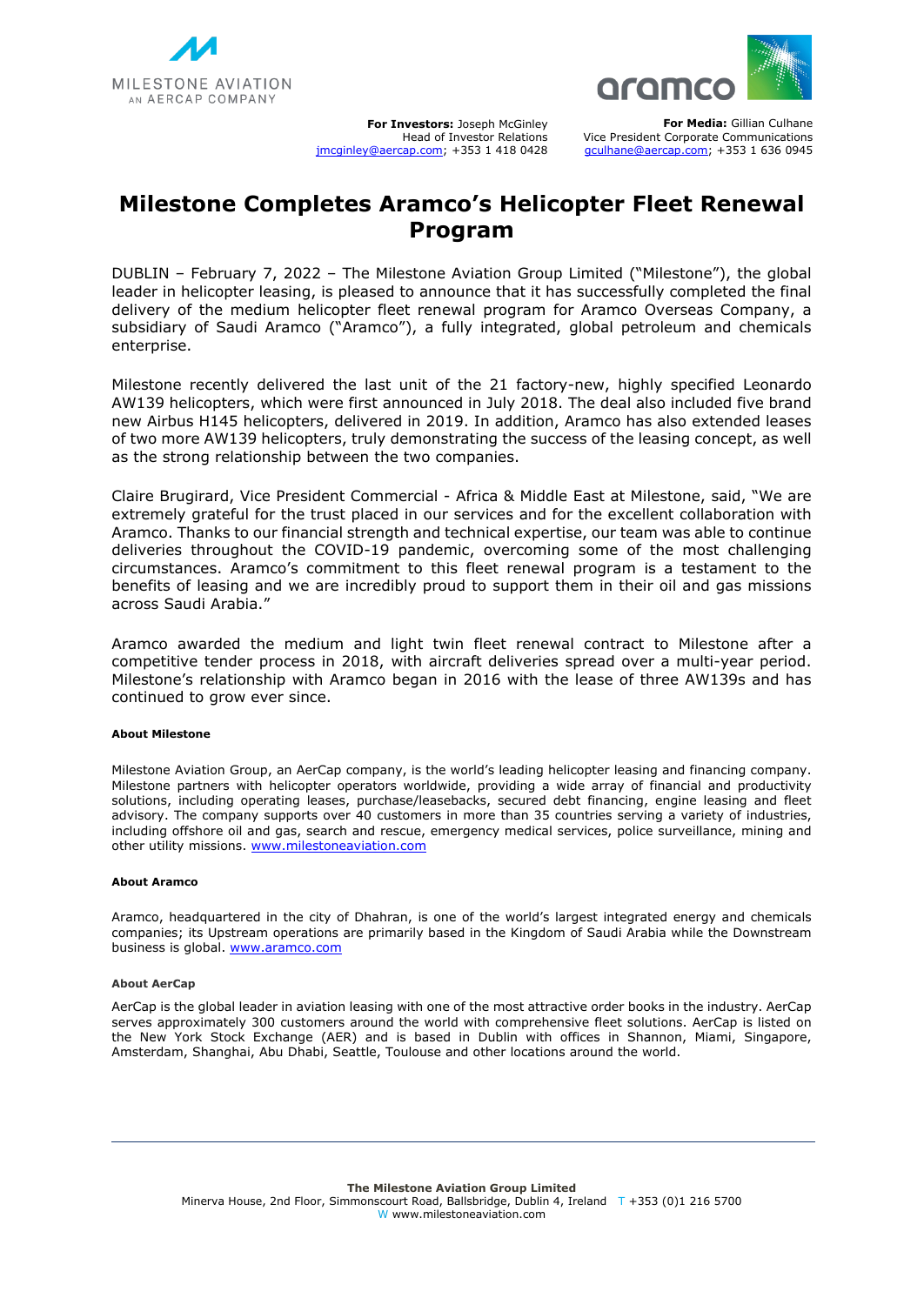



**For Investors:** Joseph McGinley Head of Investor Relations [jmcginley@aercap.com;](mailto:jmcginley@aercap.com) +353 1 418 0428

**For Media:** Gillian Culhane Vice President Corporate Communications [gculhane@aercap.com;](mailto:gculhane@aercap.com) +353 1 636 0945

# **Milestone Completes Aramco's Helicopter Fleet Renewal Program**

DUBLIN – February 7, 2022 – The Milestone Aviation Group Limited ("Milestone"), the global leader in helicopter leasing, is pleased to announce that it has successfully completed the final delivery of the medium helicopter fleet renewal program for Aramco Overseas Company, a subsidiary of Saudi Aramco ("Aramco"), a fully integrated, global petroleum and chemicals enterprise.

Milestone recently delivered the last unit of the 21 factory-new, highly specified Leonardo AW139 helicopters, which were first announced in July 2018. The deal also included five brand new Airbus H145 helicopters, delivered in 2019. In addition, Aramco has also extended leases of two more AW139 helicopters, truly demonstrating the success of the leasing concept, as well as the strong relationship between the two companies.

Claire Brugirard, Vice President Commercial - Africa & Middle East at Milestone, said, "We are extremely grateful for the trust placed in our services and for the excellent collaboration with Aramco. Thanks to our financial strength and technical expertise, our team was able to continue deliveries throughout the COVID-19 pandemic, overcoming some of the most challenging circumstances. Aramco's commitment to this fleet renewal program is a testament to the benefits of leasing and we are incredibly proud to support them in their oil and gas missions across Saudi Arabia."

Aramco awarded the medium and light twin fleet renewal contract to Milestone after a competitive tender process in 2018, with aircraft deliveries spread over a multi-year period. Milestone's relationship with Aramco began in 2016 with the lease of three AW139s and has continued to grow ever since.

## **About Milestone**

Milestone Aviation Group, an AerCap company, is the world's leading helicopter leasing and financing company. Milestone partners with helicopter operators worldwide, providing a wide array of financial and productivity solutions, including operating leases, purchase/leasebacks, secured debt financing, engine leasing and fleet advisory. The company supports over 40 customers in more than 35 countries serving a variety of industries, including offshore oil and gas, search and rescue, emergency medical services, police surveillance, mining and other utility missions. [www.milestoneaviation.com](http://www.milestoneaviation.com/)

### **About Aramco**

Aramco, headquartered in the city of Dhahran, is one of the world's largest integrated energy and chemicals companies; its Upstream operations are primarily based in the Kingdom of Saudi Arabia while the Downstream business is global. [www.aramco.com](http://www.aramco.com/)

#### **About AerCap**

AerCap is the global leader in aviation leasing with one of the most attractive order books in the industry. AerCap serves approximately 300 customers around the world with comprehensive fleet solutions. AerCap is listed on the New York Stock Exchange (AER) and is based in Dublin with offices in Shannon, Miami, Singapore, Amsterdam, Shanghai, Abu Dhabi, Seattle, Toulouse and other locations around the world.